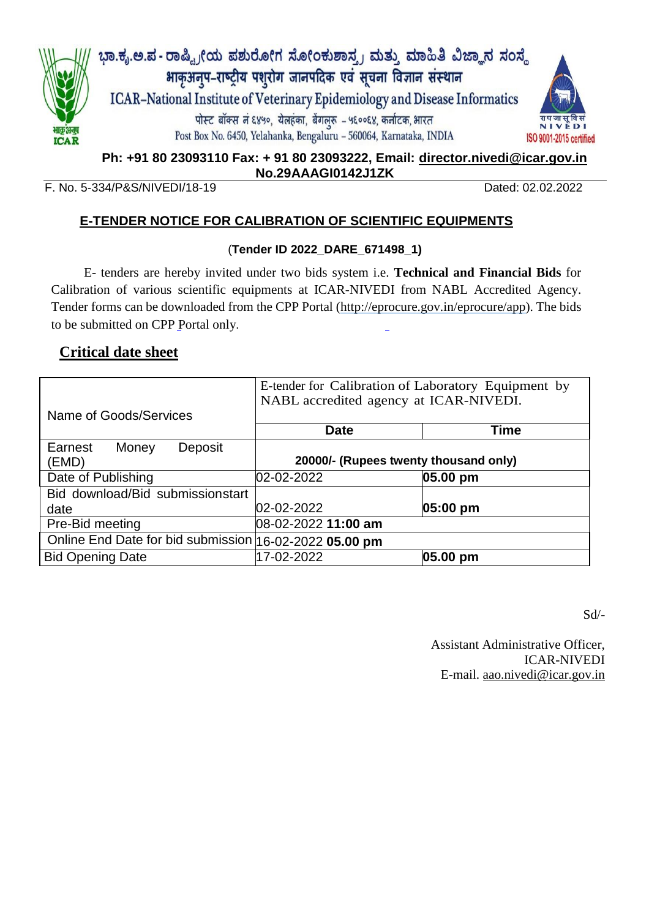

**Ph: +91 80 23093110 Fax: + 91 80 23093222, Email: [director.nivedi@icar.gov.in](mailto:director.nivedi@icar.gov.in) No.29AAAGI0142J1ZK**

#### F. No. 5-334/P&S/NIVEDI/18-19 Dated: 02.02.2022

### **E-TENDER NOTICE FOR CALIBRATION OF SCIENTIFIC EQUIPMENTS**

#### (**Tender ID 2022\_DARE\_671498\_1)**

E- tenders are hereby invited under two bids system i.e. **Technical and Financial Bids** for Calibration of various scientific equipments at ICAR-NIVEDI from NABL Accredited Agency. Tender forms can be downloaded from the CPP Portal [\(http://eprocure.gov.in/eprocure/app\)](http://eprocure.gov.in/eprocure/app). The bids to be submitted on CPP Portal only.

### **Critical date sheet**

|                                                        | E-tender for Calibration of Laboratory Equipment by<br>NABL accredited agency at ICAR-NIVEDI. |             |  |  |  |
|--------------------------------------------------------|-----------------------------------------------------------------------------------------------|-------------|--|--|--|
| Name of Goods/Services                                 |                                                                                               |             |  |  |  |
|                                                        | <b>Date</b>                                                                                   | <b>Time</b> |  |  |  |
| Earnest<br>Money<br>Deposit                            |                                                                                               |             |  |  |  |
| (EMD)                                                  | 20000/- (Rupees twenty thousand only)                                                         |             |  |  |  |
| Date of Publishing                                     | 02-02-2022                                                                                    | 05.00 pm    |  |  |  |
| Bid download/Bid submissionstart                       |                                                                                               |             |  |  |  |
| date                                                   | 02-02-2022                                                                                    | 05:00 pm    |  |  |  |
| Pre-Bid meeting                                        | 08-02-2022 11:00 am                                                                           |             |  |  |  |
| Online End Date for bid submission 16-02-2022 05.00 pm |                                                                                               |             |  |  |  |
| <b>Bid Opening Date</b>                                | 17-02-2022                                                                                    | 05.00 pm    |  |  |  |

Sd/-

Assistant Administrative Officer, ICAR-NIVEDI E-mail. [aao.nivedi@icar.gov.in](mailto:aao.nivedi@icar.gov.in)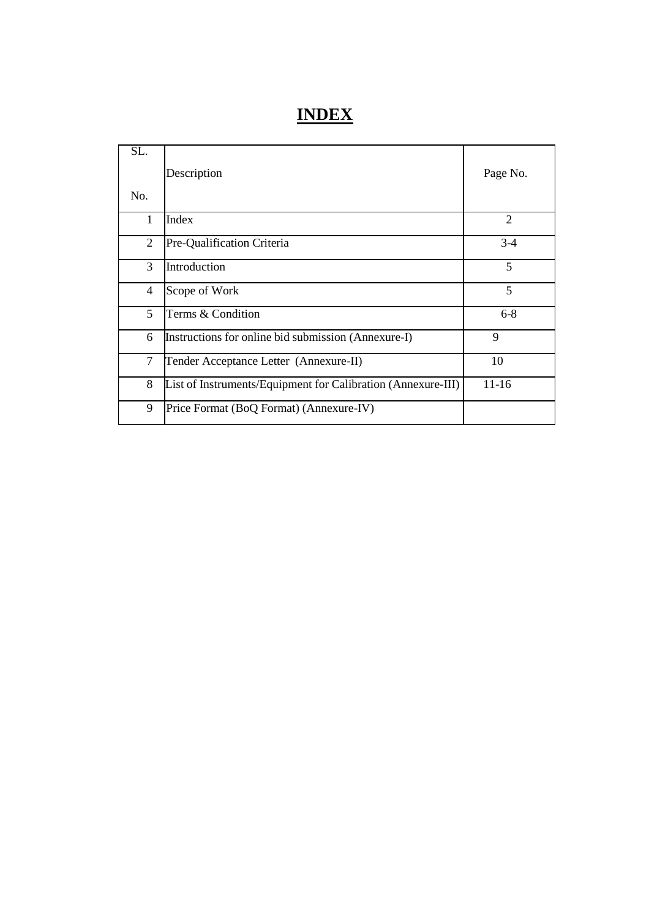# **INDEX**

| SL.          | Description                                                  | Page No.       |
|--------------|--------------------------------------------------------------|----------------|
| No.          |                                                              |                |
| $\mathbf{1}$ | Index                                                        | $\overline{2}$ |
| 2            | Pre-Qualification Criteria                                   | $3 - 4$        |
| 3            | Introduction                                                 | 5              |
| 4            | Scope of Work                                                | 5              |
| 5            | Terms & Condition                                            | $6 - 8$        |
| 6            | Instructions for online bid submission (Annexure-I)          | 9              |
| 7            | Tender Acceptance Letter (Annexure-II)                       | 10             |
| 8            | List of Instruments/Equipment for Calibration (Annexure-III) | $11-16$        |
| 9            | Price Format (BoQ Format) (Annexure-IV)                      |                |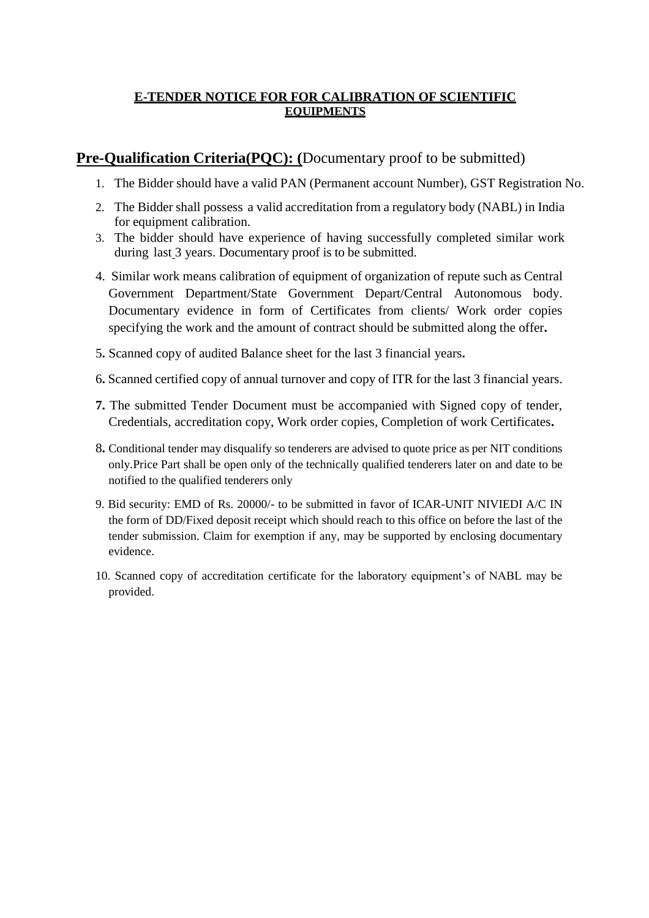### **E-TENDER NOTICE FOR FOR CALIBRATION OF SCIENTIFIC EQUIPMENTS**

### **Pre-Qualification Criteria(PQC): (**Documentary proof to be submitted)

- 1. The Bidder should have a valid PAN (Permanent account Number), GST Registration No.
- 2. The Bidder shall possess a valid accreditation from a regulatory body (NABL) in India for equipment calibration.
- 3. The bidder should have experience of having successfully completed similar work during last 3 years. Documentary proof is to be submitted.
- 4. Similar work means calibration of equipment of organization of repute such as Central Government Department/State Government Depart/Central Autonomous body. Documentary evidence in form of Certificates from clients/ Work order copies specifying the work and the amount of contract should be submitted along the offer**.**
- 5**.** Scanned copy of audited Balance sheet for the last 3 financial years**.**
- 6**.** Scanned certified copy of annual turnover and copy of ITR for the last 3 financial years.
- **7.** The submitted Tender Document must be accompanied with Signed copy of tender, Credentials, accreditation copy, Work order copies, Completion of work Certificates**.**
- 8**.** Conditional tender may disqualify so tenderers are advised to quote price as per NIT conditions only.Price Part shall be open only of the technically qualified tenderers later on and date to be notified to the qualified tenderers only
- 9. Bid security: EMD of Rs. 20000/- to be submitted in favor of ICAR-UNIT NIVIEDI A/C IN the form of DD/Fixed deposit receipt which should reach to this office on before the last of the tender submission. Claim for exemption if any, may be supported by enclosing documentary evidence.
- 10. Scanned copy of accreditation certificate for the laboratory equipment's of NABL may be provided.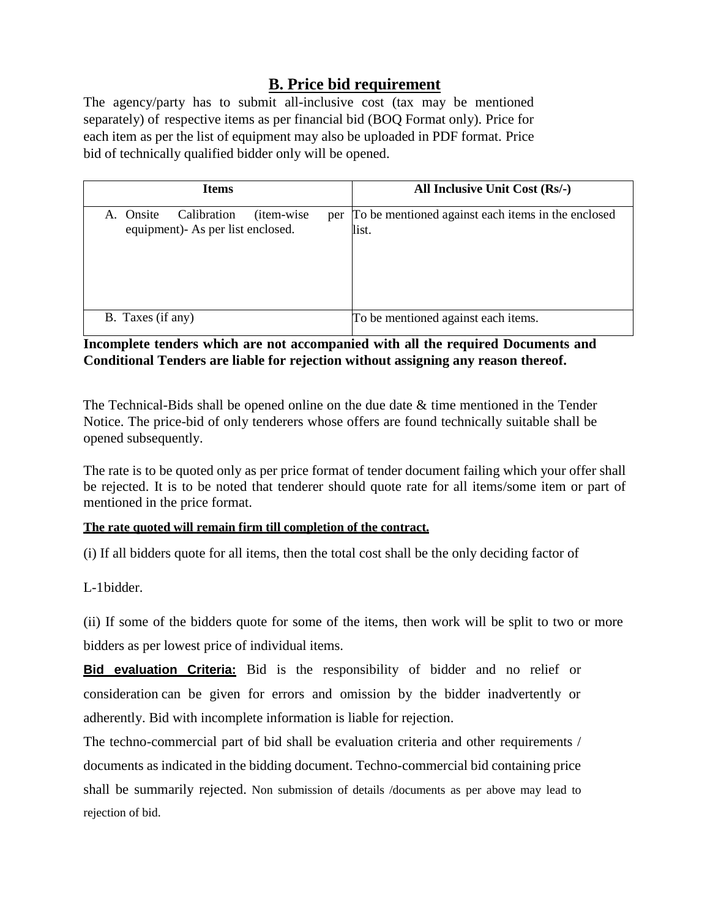### **B. Price bid requirement**

The agency/party has to submit all-inclusive cost (tax may be mentioned separately) of respective items as per financial bid (BOQ Format only). Price for each item as per the list of equipment may also be uploaded in PDF format. Price bid of technically qualified bidder only will be opened.

| <b>Items</b>                                                                                 | All Inclusive Unit Cost (Rs/-)                              |  |  |  |
|----------------------------------------------------------------------------------------------|-------------------------------------------------------------|--|--|--|
| Calibration<br>A. Onsite<br>( <i>item-wise</i> )<br>per<br>equipment)- As per list enclosed. | To be mentioned against each items in the enclosed<br>list. |  |  |  |
| B. Taxes (if any)                                                                            | To be mentioned against each items.                         |  |  |  |

**Incomplete tenders which are not accompanied with all the required Documents and Conditional Tenders are liable for rejection without assigning any reason thereof.**

The Technical-Bids shall be opened online on the due date & time mentioned in the Tender Notice. The price-bid of only tenderers whose offers are found technically suitable shall be opened subsequently.

The rate is to be quoted only as per price format of tender document failing which your offer shall be rejected. It is to be noted that tenderer should quote rate for all items/some item or part of mentioned in the price format.

### **The rate quoted will remain firm till completion of the contract.**

(i) If all bidders quote for all items, then the total cost shall be the only deciding factor of

L-1bidder.

(ii) If some of the bidders quote for some of the items, then work will be split to two or more bidders as per lowest price of individual items.

**Bid evaluation Criteria:** Bid is the responsibility of bidder and no relief or consideration can be given for errors and omission by the bidder inadvertently or adherently. Bid with incomplete information is liable for rejection.

The techno-commercial part of bid shall be evaluation criteria and other requirements / documents as indicated in the bidding document. Techno-commercial bid containing price shall be summarily rejected. Non submission of details /documents as per above may lead to rejection of bid.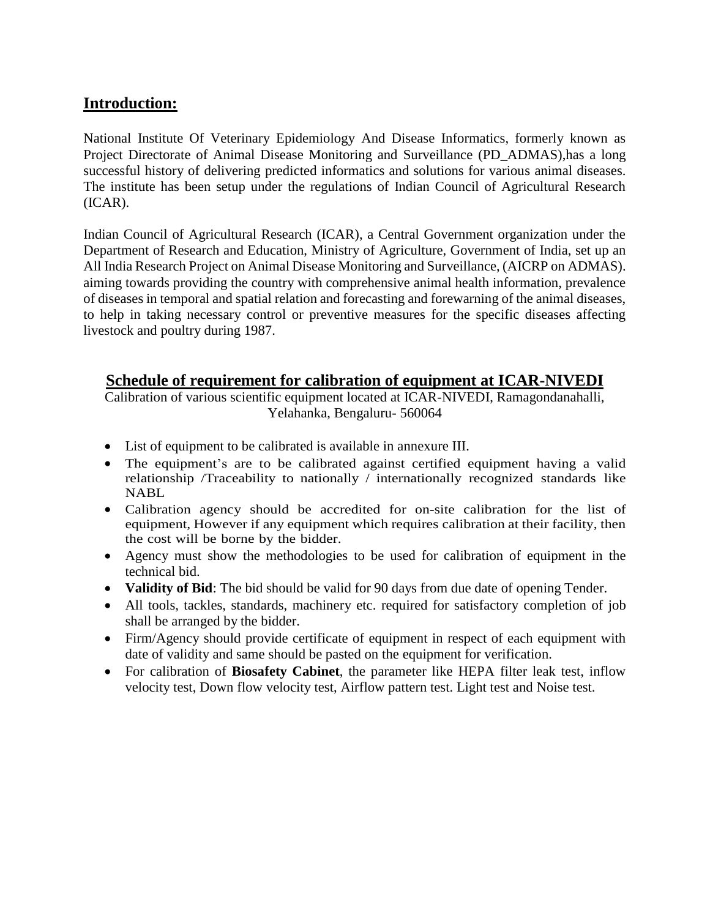### **Introduction:**

National Institute Of Veterinary Epidemiology And Disease Informatics, formerly known as Project Directorate of Animal Disease Monitoring and Surveillance (PD\_ADMAS),has a long successful history of delivering predicted informatics and solutions for various animal diseases. The institute has been setup under the regulations of Indian Council of Agricultural Research (ICAR).

Indian Council of Agricultural Research (ICAR), a Central Government organization under the Department of Research and Education, Ministry of Agriculture, Government of India, set up an All India Research Project on Animal Disease Monitoring and Surveillance, (AICRP on ADMAS). aiming towards providing the country with comprehensive animal health information, prevalence of diseases in temporal and spatial relation and forecasting and forewarning of the animal diseases, to help in taking necessary control or preventive measures for the specific diseases affecting livestock and poultry during 1987.

### **Schedule of requirement for calibration of equipment at ICAR-NIVEDI**

Calibration of various scientific equipment located at ICAR-NIVEDI, Ramagondanahalli, Yelahanka, Bengaluru- 560064

- List of equipment to be calibrated is available in annexure III.
- The equipment's are to be calibrated against certified equipment having a valid relationship /Traceability to nationally / internationally recognized standards like NABL
- Calibration agency should be accredited for on-site calibration for the list of equipment, However if any equipment which requires calibration at their facility, then the cost will be borne by the bidder.
- Agency must show the methodologies to be used for calibration of equipment in the technical bid.
- **Validity of Bid**: The bid should be valid for 90 days from due date of opening Tender.
- All tools, tackles, standards, machinery etc. required for satisfactory completion of job shall be arranged by the bidder.
- Firm/Agency should provide certificate of equipment in respect of each equipment with date of validity and same should be pasted on the equipment for verification.
- For calibration of **Biosafety Cabinet**, the parameter like HEPA filter leak test, inflow velocity test, Down flow velocity test, Airflow pattern test. Light test and Noise test.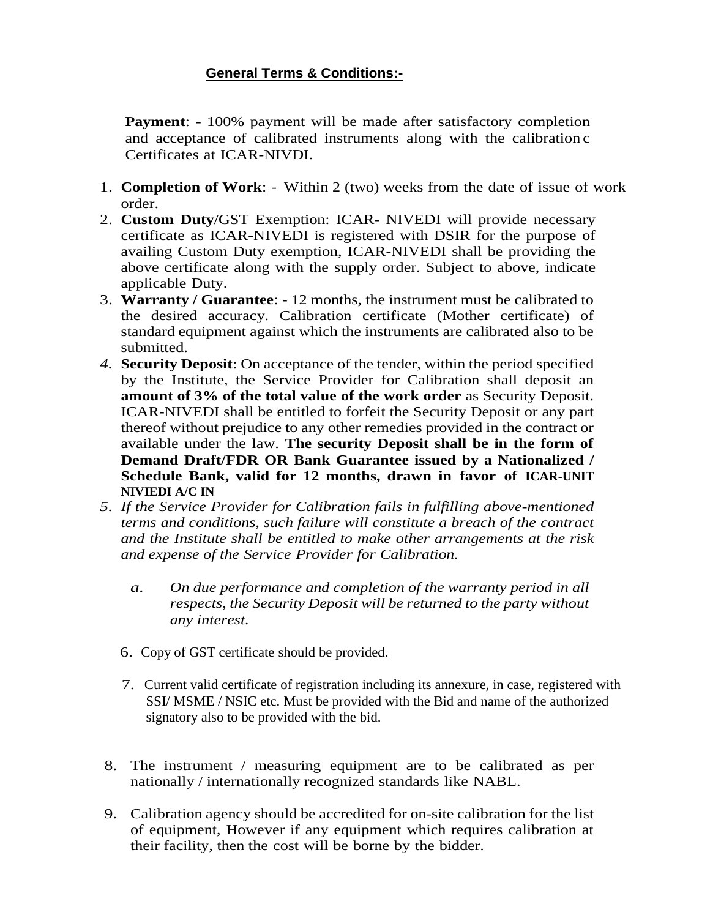### **General Terms & Conditions:-**

**Payment**: - 100% payment will be made after satisfactory completion and acceptance of calibrated instruments along with the calibration c Certificates at ICAR-NIVDI.

- 1. **Completion of Work**: Within 2 (two) weeks from the date of issue of work order.
- 2. **Custom Duty**/GST Exemption: ICAR- NIVEDI will provide necessary certificate as ICAR-NIVEDI is registered with DSIR for the purpose of availing Custom Duty exemption, ICAR-NIVEDI shall be providing the above certificate along with the supply order. Subject to above, indicate applicable Duty.
- 3. **Warranty / Guarantee**: 12 months, the instrument must be calibrated to the desired accuracy. Calibration certificate (Mother certificate) of standard equipment against which the instruments are calibrated also to be submitted.
- *4.* **Security Deposit**: On acceptance of the tender, within the period specified by the Institute, the Service Provider for Calibration shall deposit an **amount of 3% of the total value of the work order** as Security Deposit. ICAR-NIVEDI shall be entitled to forfeit the Security Deposit or any part thereof without prejudice to any other remedies provided in the contract or available under the law. **The security Deposit shall be in the form of Demand Draft/FDR OR Bank Guarantee issued by a Nationalized / Schedule Bank, valid for 12 months, drawn in favor of ICAR-UNIT NIVIEDI A/C IN**
- *5. If the Service Provider for Calibration fails in fulfilling above-mentioned terms and conditions, such failure will constitute a breach of the contract and the Institute shall be entitled to make other arrangements at the risk and expense of the Service Provider for Calibration.*
	- *a. On due performance and completion of the warranty period in all respects, the Security Deposit will be returned to the party without any interest.*
	- 6. Copy of GST certificate should be provided.
	- 7. Current valid certificate of registration including its annexure, in case, registered with SSI/ MSME / NSIC etc. Must be provided with the Bid and name of the authorized signatory also to be provided with the bid.
- 8. The instrument / measuring equipment are to be calibrated as per nationally / internationally recognized standards like NABL.
- 9. Calibration agency should be accredited for on-site calibration for the list of equipment, However if any equipment which requires calibration at their facility, then the cost will be borne by the bidder.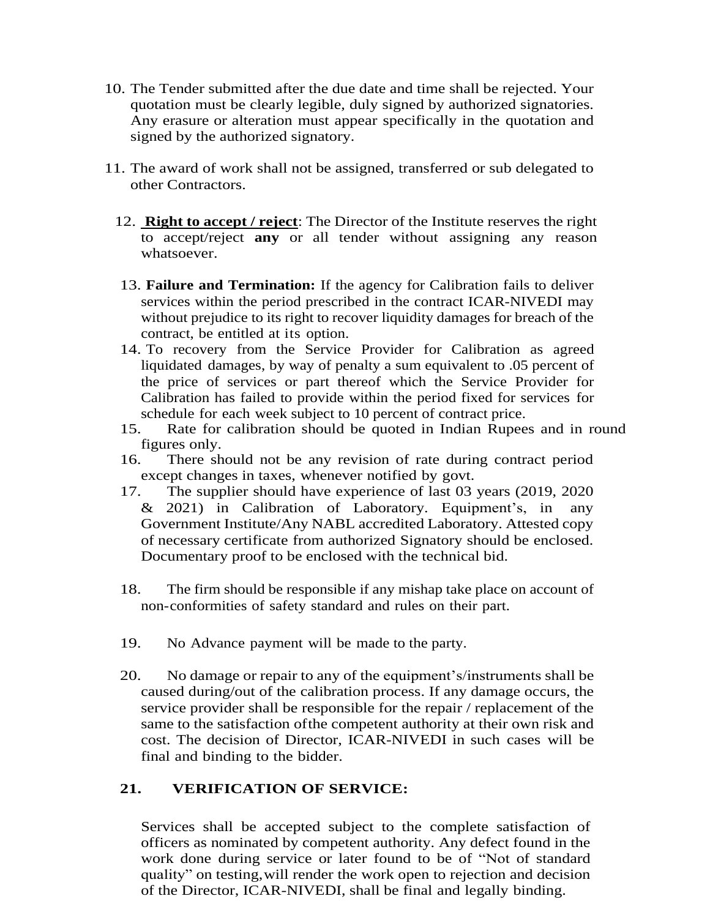- 10. The Tender submitted after the due date and time shall be rejected. Your quotation must be clearly legible, duly signed by authorized signatories. Any erasure or alteration must appear specifically in the quotation and signed by the authorized signatory.
- 11. The award of work shall not be assigned, transferred or sub delegated to other Contractors.
	- 12. **Right to accept / reject**: The Director of the Institute reserves the right to accept/reject **any** or all tender without assigning any reason whatsoever.
	- 13. **Failure and Termination:** If the agency for Calibration fails to deliver services within the period prescribed in the contract ICAR-NIVEDI may without prejudice to its right to recover liquidity damages for breach of the contract, be entitled at its option.
	- 14. To recovery from the Service Provider for Calibration as agreed liquidated damages, by way of penalty a sum equivalent to .05 percent of the price of services or part thereof which the Service Provider for Calibration has failed to provide within the period fixed for services for schedule for each week subject to 10 percent of contract price.
	- 15. Rate for calibration should be quoted in Indian Rupees and in round figures only.
	- 16. There should not be any revision of rate during contract period except changes in taxes, whenever notified by govt.
	- 17. The supplier should have experience of last 03 years (2019, 2020 & 2021) in Calibration of Laboratory. Equipment's, in any Government Institute/Any NABL accredited Laboratory. Attested copy of necessary certificate from authorized Signatory should be enclosed. Documentary proof to be enclosed with the technical bid.
	- 18. The firm should be responsible if any mishap take place on account of non-conformities of safety standard and rules on their part.
	- 19. No Advance payment will be made to the party.
	- 20. No damage or repair to any of the equipment's/instruments shall be caused during/out of the calibration process. If any damage occurs, the service provider shall be responsible for the repair / replacement of the same to the satisfaction ofthe competent authority at their own risk and cost. The decision of Director, ICAR-NIVEDI in such cases will be final and binding to the bidder.

### **21. VERIFICATION OF SERVICE:**

Services shall be accepted subject to the complete satisfaction of officers as nominated by competent authority. Any defect found in the work done during service or later found to be of "Not of standard quality" on testing,will render the work open to rejection and decision of the Director, ICAR-NIVEDI, shall be final and legally binding.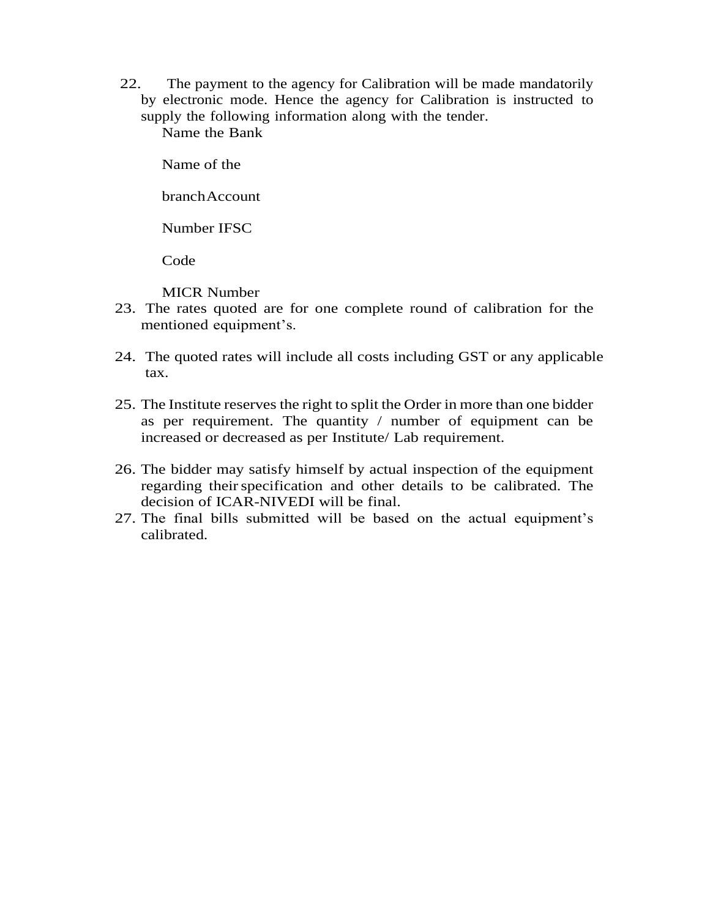22. The payment to the agency for Calibration will be made mandatorily by electronic mode. Hence the agency for Calibration is instructed to supply the following information along with the tender.

Name the Bank

Name of the

branchAccount

Number IFSC

Code

MICR Number

- 23. The rates quoted are for one complete round of calibration for the mentioned equipment's.
- 24. The quoted rates will include all costs including GST or any applicable tax.
- 25. The Institute reserves the right to split the Order in more than one bidder as per requirement. The quantity / number of equipment can be increased or decreased as per Institute/ Lab requirement.
- 26. The bidder may satisfy himself by actual inspection of the equipment regarding their specification and other details to be calibrated. The decision of ICAR-NIVEDI will be final.
- 27. The final bills submitted will be based on the actual equipment's calibrated.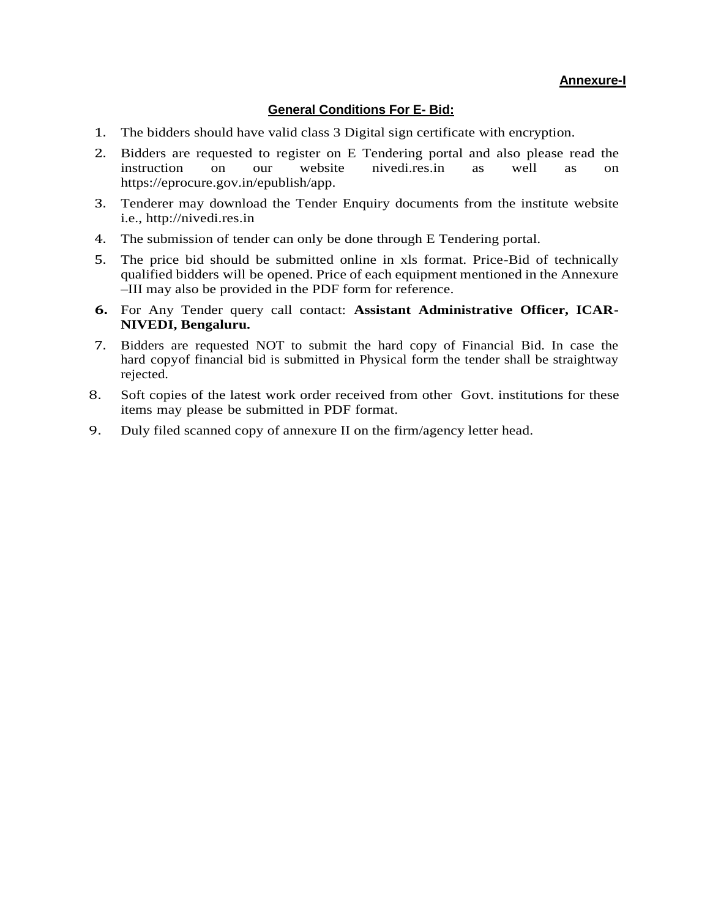#### **General Conditions For E- Bid:**

- 1. The bidders should have valid class 3 Digital sign certificate with encryption.
- 2. Bidders are requested to register on E Tendering portal and also please read the instruction on our website nivedi.res.in as well as on instruction on our website [nivedi.res.in](http://www.nib.gov.in/) as well as on https://eprocure.gov.in/epublish/app.
- 3. Tenderer may download the Tender Enquiry documents from the institute website i.e., http://nivedi.res.in
- 4. The submission of tender can only be done through E Tendering portal.
- 5. The price bid should be submitted online in xls format. Price-Bid of technically qualified bidders will be opened. Price of each equipment mentioned in the Annexure –III may also be provided in the PDF form for reference.
- **6.** For Any Tender query call contact: **Assistant Administrative Officer, ICAR-NIVEDI, Bengaluru.**
- 7. Bidders are requested NOT to submit the hard copy of Financial Bid. In case the hard copyof financial bid is submitted in Physical form the tender shall be straightway rejected.
- 8. Soft copies of the latest work order received from other Govt. institutions for these items may please be submitted in PDF format.
- 9. Duly filed scanned copy of annexure II on the firm/agency letter head.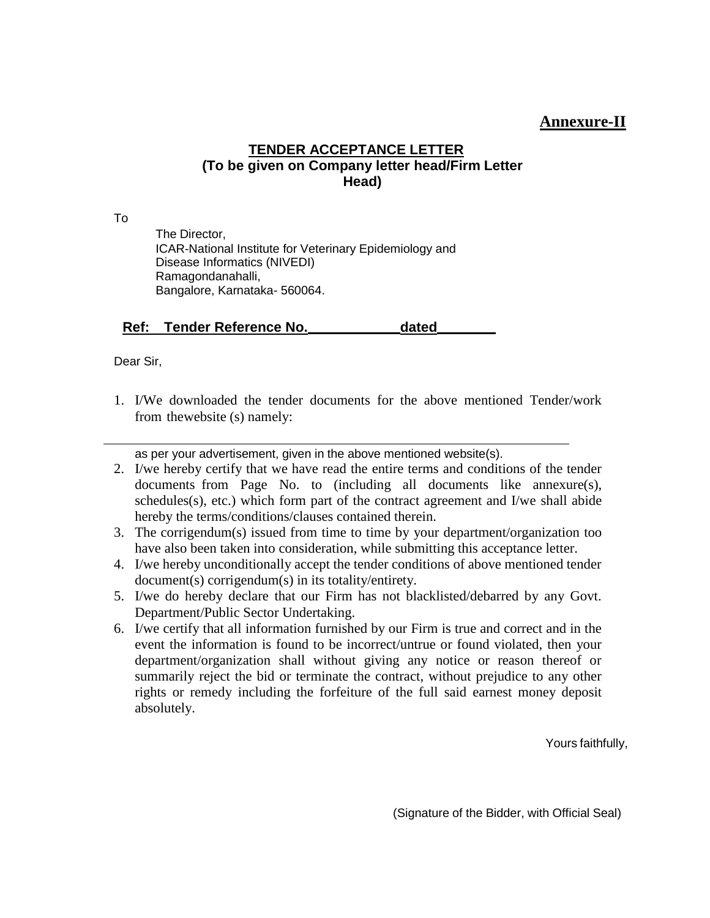### **Annexure-II**

### **TENDER ACCEPTANCE LETTER (To be given on Company letter head/Firm Letter Head)**

To

The Director, ICAR-National Institute for Veterinary Epidemiology and Disease Informatics (NIVEDI) Ramagondanahalli, Bangalore, Karnataka- 560064.

**Ref: Tender Reference No. dated**

Dear Sir,

1. I/We downloaded the tender documents for the above mentioned Tender/work from thewebsite (s) namely:

as per your advertisement, given in the above mentioned website(s).

- 2. I/we hereby certify that we have read the entire terms and conditions of the tender documents from Page No. to (including all documents like annexure(s), schedules(s), etc.) which form part of the contract agreement and I/we shall abide hereby the terms/conditions/clauses contained therein.
- 3. The corrigendum(s) issued from time to time by your department/organization too have also been taken into consideration, while submitting this acceptance letter.
- 4. I/we hereby unconditionally accept the tender conditions of above mentioned tender document(s) corrigendum(s) in its totality/entirety.
- 5. I/we do hereby declare that our Firm has not blacklisted/debarred by any Govt. Department/Public Sector Undertaking.
- 6. I/we certify that all information furnished by our Firm is true and correct and in the event the information is found to be incorrect/untrue or found violated, then your department/organization shall without giving any notice or reason thereof or summarily reject the bid or terminate the contract, without prejudice to any other rights or remedy including the forfeiture of the full said earnest money deposit absolutely.

Yours faithfully,

(Signature of the Bidder, with Official Seal)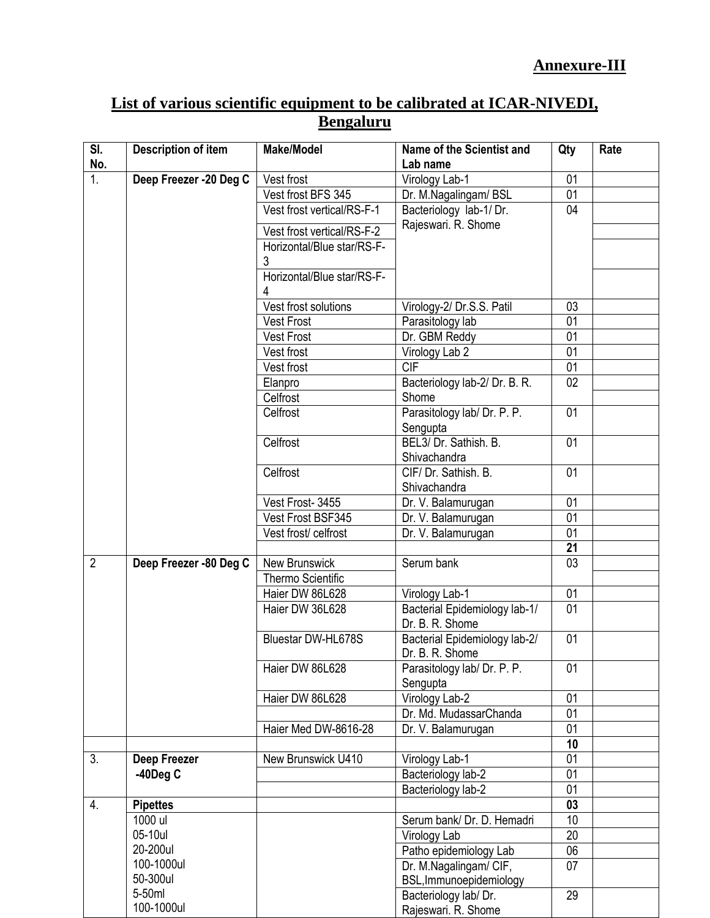| List of various scientific equipment to be calibrated at ICAR-NIVEDI, |  |  |  |  |  |  |  |
|-----------------------------------------------------------------------|--|--|--|--|--|--|--|
| <b>Bengaluru</b>                                                      |  |  |  |  |  |  |  |

| SI.<br><b>Description of item</b><br>No. |                            | <b>Make/Model</b>                                        | Name of the Scientist and<br>Lab name      | Qty                   | Rate |
|------------------------------------------|----------------------------|----------------------------------------------------------|--------------------------------------------|-----------------------|------|
| $\overline{1}$ .                         | Deep Freezer -20 Deg C     | Vest frost                                               | Virology Lab-1                             | 01                    |      |
|                                          |                            | Vest frost BFS 345                                       | Dr. M.Nagalingam/ BSL                      | 01                    |      |
|                                          |                            | Vest frost vertical/RS-F-1                               | Bacteriology lab-1/Dr.                     | 04                    |      |
|                                          |                            |                                                          | Rajeswari. R. Shome                        |                       |      |
|                                          |                            | Vest frost vertical/RS-F-2<br>Horizontal/Blue star/RS-F- |                                            |                       |      |
|                                          |                            | 3                                                        |                                            |                       |      |
|                                          |                            | Horizontal/Blue star/RS-F-                               |                                            |                       |      |
|                                          |                            |                                                          |                                            |                       |      |
|                                          |                            | Vest frost solutions                                     | Virology-2/ Dr.S.S. Patil                  | 03                    |      |
|                                          |                            | <b>Vest Frost</b>                                        | Parasitology lab                           | 01                    |      |
|                                          |                            | <b>Vest Frost</b>                                        | Dr. GBM Reddy                              | 01                    |      |
|                                          |                            | Vest frost                                               | Virology Lab 2                             | 01                    |      |
|                                          |                            | Vest frost                                               | <b>CIF</b>                                 | 01                    |      |
|                                          |                            | Elanpro                                                  | Bacteriology lab-2/ Dr. B. R.              | 02                    |      |
|                                          |                            | Celfrost                                                 | Shome                                      |                       |      |
|                                          |                            | Celfrost                                                 | Parasitology lab/ Dr. P. P.                | 01                    |      |
|                                          |                            |                                                          | Sengupta                                   |                       |      |
|                                          |                            | Celfrost                                                 | BEL3/ Dr. Sathish. B.                      | 01                    |      |
|                                          |                            |                                                          | Shivachandra                               |                       |      |
|                                          |                            | Celfrost                                                 | CIF/ Dr. Sathish, B.                       | 01                    |      |
|                                          |                            |                                                          | Shivachandra                               |                       |      |
|                                          |                            | Vest Frost-3455                                          | Dr. V. Balamurugan                         | 01                    |      |
|                                          |                            | Vest Frost BSF345                                        | Dr. V. Balamurugan                         | 01<br>$\overline{01}$ |      |
|                                          |                            | Vest frost/celfrost                                      | Dr. V. Balamurugan                         | 21                    |      |
| $\overline{2}$                           | Deep Freezer -80 Deg C     | <b>New Brunswick</b>                                     | Serum bank                                 | 03                    |      |
|                                          |                            | Thermo Scientific                                        |                                            |                       |      |
|                                          |                            | Haier DW 86L628                                          | Virology Lab-1                             | 01                    |      |
|                                          |                            | Haier DW 36L628                                          | Bacterial Epidemiology lab-1/              | 01                    |      |
|                                          |                            |                                                          | Dr. B. R. Shome                            |                       |      |
|                                          |                            | Bluestar DW-HL678S                                       | Bacterial Epidemiology lab-2/              | 01                    |      |
|                                          |                            |                                                          | Dr. B. R. Shome                            |                       |      |
|                                          |                            | Haier DW 86L628                                          | Parasitology lab/ Dr. P. P.                | 01                    |      |
|                                          |                            |                                                          | Sengupta                                   |                       |      |
|                                          |                            | Haier DW 86L628                                          | Virology Lab-2                             | 01                    |      |
|                                          |                            |                                                          | Dr. Md. MudassarChanda                     | 01                    |      |
|                                          |                            | Haier Med DW-8616-28                                     | Dr. V. Balamurugan                         | 01                    |      |
|                                          |                            |                                                          |                                            | 10                    |      |
| 3.                                       | <b>Deep Freezer</b>        | New Brunswick U410                                       | Virology Lab-1                             | 01                    |      |
|                                          | $-40$ Deg C                |                                                          | Bacteriology lab-2                         | 01                    |      |
|                                          |                            |                                                          | Bacteriology lab-2                         | 01                    |      |
| 4.                                       | <b>Pipettes</b><br>1000 ul |                                                          |                                            | 03<br>10              |      |
|                                          | 05-10ul                    |                                                          | Serum bank/ Dr. D. Hemadri<br>Virology Lab | 20                    |      |
|                                          | 20-200ul                   |                                                          | Patho epidemiology Lab                     | 06                    |      |
|                                          | 100-1000ul                 |                                                          | Dr. M.Nagalingam/ CIF,                     | 07                    |      |
|                                          | 50-300ul                   |                                                          | BSL, Immunoepidemiology                    |                       |      |
|                                          | 5-50ml                     |                                                          | Bacteriology lab/Dr.                       | 29                    |      |
|                                          | 100-1000ul                 |                                                          | Rajeswari. R. Shome                        |                       |      |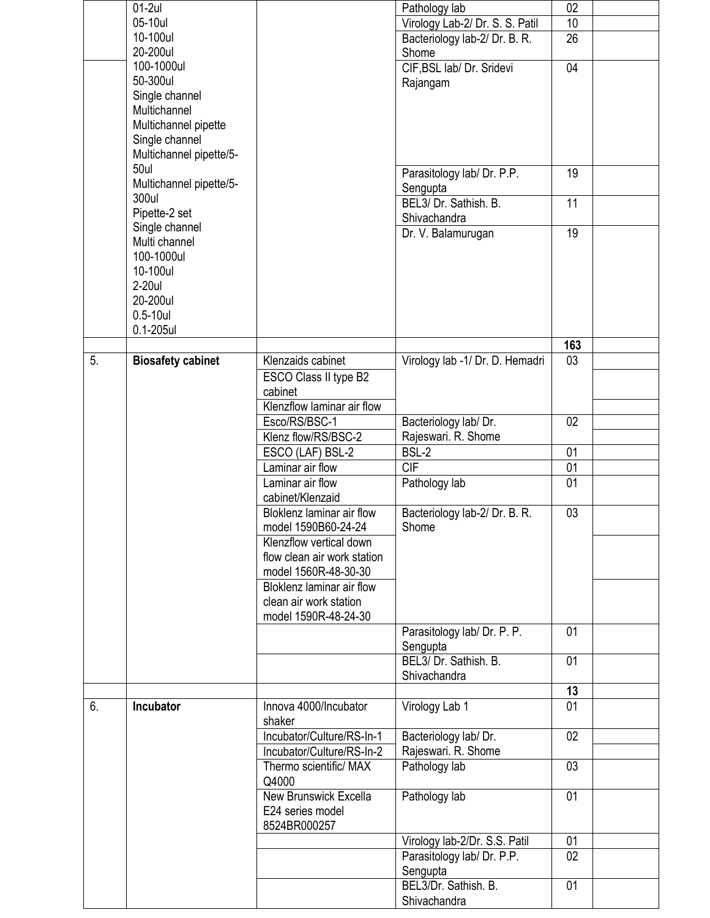|                | $01-2ul$                 |                             | Pathology lab                        | 02              |  |
|----------------|--------------------------|-----------------------------|--------------------------------------|-----------------|--|
|                | 05-10ul                  |                             | Virology Lab-2/ Dr. S. S. Patil      | 10              |  |
|                | 10-100ul                 |                             | Bacteriology lab-2/ Dr. B. R.        | 26              |  |
|                | 20-200ul                 |                             | Shome                                |                 |  |
|                | 100-1000ul               |                             | CIF, BSL lab/ Dr. Sridevi            | 04              |  |
|                | 50-300ul                 |                             |                                      |                 |  |
|                | Single channel           |                             | Rajangam                             |                 |  |
|                |                          |                             |                                      |                 |  |
|                | Multichannel             |                             |                                      |                 |  |
|                | Multichannel pipette     |                             |                                      |                 |  |
|                | Single channel           |                             |                                      |                 |  |
|                | Multichannel pipette/5-  |                             |                                      |                 |  |
|                | 50ul                     |                             | Parasitology lab/ Dr. P.P.           | 19              |  |
|                | Multichannel pipette/5-  |                             | Sengupta                             |                 |  |
|                | 300ul                    |                             | BEL3/ Dr. Sathish. B.                | 11              |  |
|                | Pipette-2 set            |                             |                                      |                 |  |
|                | Single channel           |                             | Shivachandra                         |                 |  |
|                | Multi channel            |                             | Dr. V. Balamurugan                   | 19              |  |
|                | 100-1000ul               |                             |                                      |                 |  |
|                | 10-100ul                 |                             |                                      |                 |  |
|                |                          |                             |                                      |                 |  |
|                | 2-20ul                   |                             |                                      |                 |  |
|                | 20-200ul                 |                             |                                      |                 |  |
|                | $0.5-10$ ul              |                             |                                      |                 |  |
|                | $0.1 - 205$ ul           |                             |                                      |                 |  |
|                |                          |                             |                                      | 163             |  |
| 5 <sub>1</sub> | <b>Biosafety cabinet</b> | Klenzaids cabinet           | Virology lab -1/ Dr. D. Hemadri      | 03              |  |
|                |                          | ESCO Class II type B2       |                                      |                 |  |
|                |                          |                             |                                      |                 |  |
|                |                          | cabinet                     |                                      |                 |  |
|                |                          | Klenzflow laminar air flow  |                                      |                 |  |
|                |                          | Esco/RS/BSC-1               | Bacteriology lab/ Dr.                | 02              |  |
|                |                          | Klenz flow/RS/BSC-2         | Rajeswari. R. Shome                  |                 |  |
|                |                          | ESCO (LAF) BSL-2            | BSL-2                                | 01              |  |
|                |                          | Laminar air flow            | <b>CIF</b>                           | 01              |  |
|                |                          | Laminar air flow            | Pathology lab                        | 01              |  |
|                |                          | cabinet/Klenzaid            |                                      |                 |  |
|                |                          | Bloklenz laminar air flow   | Bacteriology lab-2/ Dr. B. R.        | 03              |  |
|                |                          |                             |                                      |                 |  |
|                |                          | model 1590B60-24-24         | Shome                                |                 |  |
|                |                          | Klenzflow vertical down     |                                      |                 |  |
|                |                          | flow clean air work station |                                      |                 |  |
|                |                          | model 1560R-48-30-30        |                                      |                 |  |
|                |                          | Bloklenz laminar air flow   |                                      |                 |  |
|                |                          | clean air work station      |                                      |                 |  |
|                |                          | model 1590R-48-24-30        |                                      |                 |  |
|                |                          |                             | Parasitology lab/ Dr. P. P.          | 01              |  |
|                |                          |                             | Sengupta                             |                 |  |
|                |                          |                             | BEL3/ Dr. Sathish. B.                | 01              |  |
|                |                          |                             | Shivachandra                         |                 |  |
|                |                          |                             |                                      | 13              |  |
|                |                          |                             |                                      |                 |  |
| 6.             |                          |                             |                                      |                 |  |
|                | Incubator                | Innova 4000/Incubator       | Virology Lab 1                       | $\overline{01}$ |  |
|                |                          | shaker                      |                                      |                 |  |
|                |                          | Incubator/Culture/RS-In-1   | Bacteriology lab/ Dr.                | 02              |  |
|                |                          | Incubator/Culture/RS-In-2   | Rajeswari. R. Shome                  |                 |  |
|                |                          | Thermo scientific/ MAX      | Pathology lab                        | 03              |  |
|                |                          |                             |                                      |                 |  |
|                |                          | Q4000                       |                                      |                 |  |
|                |                          | New Brunswick Excella       | Pathology lab                        | 01              |  |
|                |                          | E24 series model            |                                      |                 |  |
|                |                          | 8524BR000257                |                                      |                 |  |
|                |                          |                             | Virology lab-2/Dr. S.S. Patil        | 01              |  |
|                |                          |                             | Parasitology lab/ Dr. P.P.           | 02              |  |
|                |                          |                             | Sengupta                             |                 |  |
|                |                          |                             | BEL3/Dr. Sathish. B.<br>Shivachandra | 01              |  |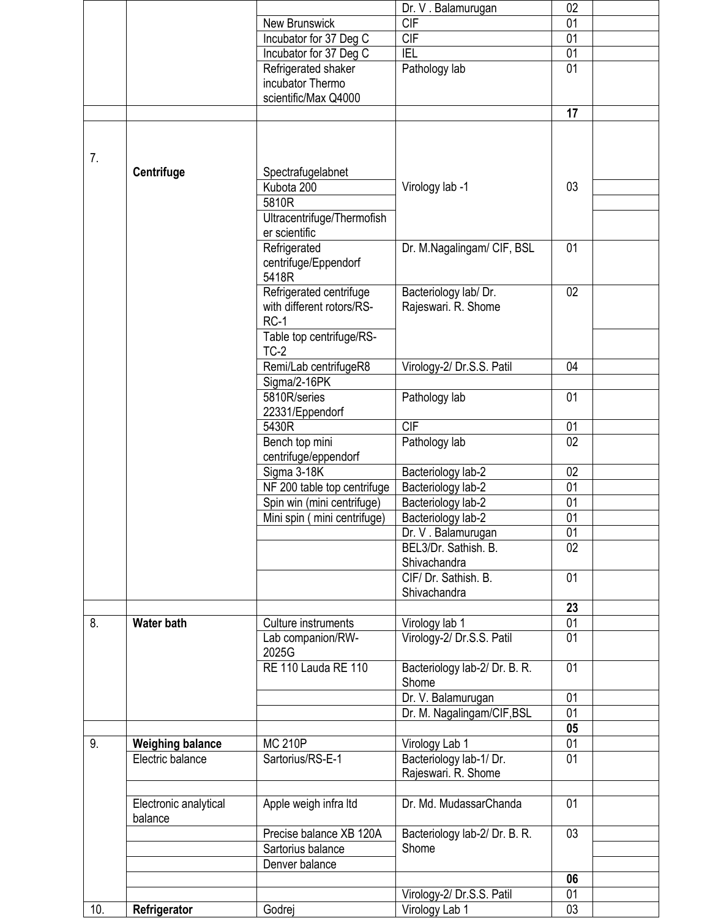|     |                         |                             | Dr. V. Balamurugan            | 02              |  |
|-----|-------------------------|-----------------------------|-------------------------------|-----------------|--|
|     |                         | New Brunswick               | <b>CIF</b>                    | 01              |  |
|     |                         | Incubator for 37 Deg C      | <b>CIF</b>                    | 01              |  |
|     |                         | Incubator for 37 Deg C      | <b>IEL</b>                    | $\overline{01}$ |  |
|     |                         | Refrigerated shaker         | Pathology lab                 | 01              |  |
|     |                         | incubator Thermo            |                               |                 |  |
|     |                         | scientific/Max Q4000        |                               |                 |  |
|     |                         |                             |                               | 17              |  |
|     |                         |                             |                               |                 |  |
|     |                         |                             |                               |                 |  |
| 7.  |                         |                             |                               |                 |  |
|     | <b>Centrifuge</b>       | Spectrafugelabnet           |                               |                 |  |
|     |                         | Kubota 200                  | Virology lab -1               | 03              |  |
|     |                         | 5810R                       |                               |                 |  |
|     |                         | Ultracentrifuge/Thermofish  |                               |                 |  |
|     |                         | er scientific               |                               |                 |  |
|     |                         | Refrigerated                | Dr. M.Nagalingam/ CIF, BSL    | 01              |  |
|     |                         | centrifuge/Eppendorf        |                               |                 |  |
|     |                         | 5418R                       |                               |                 |  |
|     |                         | Refrigerated centrifuge     | Bacteriology lab/Dr.          | 02              |  |
|     |                         | with different rotors/RS-   | Rajeswari. R. Shome           |                 |  |
|     |                         | $RC-1$                      |                               |                 |  |
|     |                         | Table top centrifuge/RS-    |                               |                 |  |
|     |                         | $TC-2$                      |                               |                 |  |
|     |                         | Remi/Lab centrifugeR8       | Virology-2/ Dr.S.S. Patil     | 04              |  |
|     |                         | Sigma/2-16PK                |                               |                 |  |
|     |                         | 5810R/series                | Pathology lab                 | 01              |  |
|     |                         |                             |                               |                 |  |
|     |                         | 22331/Eppendorf<br>5430R    | CIF                           | 01              |  |
|     |                         |                             |                               | 02              |  |
|     |                         | Bench top mini              | Pathology lab                 |                 |  |
|     |                         | centrifuge/eppendorf        |                               |                 |  |
|     |                         | Sigma 3-18K                 | Bacteriology lab-2            | 02              |  |
|     |                         | NF 200 table top centrifuge | Bacteriology lab-2            | 01              |  |
|     |                         | Spin win (mini centrifuge)  | Bacteriology lab-2            | 01              |  |
|     |                         | Mini spin (mini centrifuge) | Bacteriology lab-2            | 01              |  |
|     |                         |                             | Dr. V. Balamurugan            | 01              |  |
|     |                         |                             | BEL3/Dr. Sathish, B.          | 02              |  |
|     |                         |                             | Shivachandra                  |                 |  |
|     |                         |                             | CIF/Dr. Sathish. B.           | 01              |  |
|     |                         |                             | Shivachandra                  |                 |  |
|     |                         |                             |                               | 23              |  |
| 8.  | <b>Water bath</b>       | Culture instruments         | Virology lab 1                | 01              |  |
|     |                         | Lab companion/RW-           | Virology-2/ Dr.S.S. Patil     | 01              |  |
|     |                         | 2025G                       |                               |                 |  |
|     |                         | <b>RE 110 Lauda RE 110</b>  | Bacteriology lab-2/ Dr. B. R. | 01              |  |
|     |                         |                             | Shome                         |                 |  |
|     |                         |                             | Dr. V. Balamurugan            | 01              |  |
|     |                         |                             | Dr. M. Nagalingam/CIF, BSL    | 01              |  |
|     |                         |                             |                               | 05              |  |
| 9.  | <b>Weighing balance</b> | <b>MC 210P</b>              | Virology Lab 1                | 01              |  |
|     | Electric balance        | Sartorius/RS-E-1            | Bacteriology lab-1/Dr.        | 01              |  |
|     |                         |                             | Rajeswari. R. Shome           |                 |  |
|     |                         |                             |                               |                 |  |
|     | Electronic analytical   | Apple weigh infra Itd       | Dr. Md. MudassarChanda        | 01              |  |
|     | balance                 |                             |                               |                 |  |
|     |                         | Precise balance XB 120A     | Bacteriology lab-2/ Dr. B. R. | 03              |  |
|     |                         | Sartorius balance           | Shome                         |                 |  |
|     |                         | Denver balance              |                               |                 |  |
|     |                         |                             |                               | 06              |  |
|     |                         |                             | Virology-2/ Dr.S.S. Patil     | 01              |  |
| 10. | Refrigerator            | Godrej                      | Virology Lab 1                | 03              |  |
|     |                         |                             |                               |                 |  |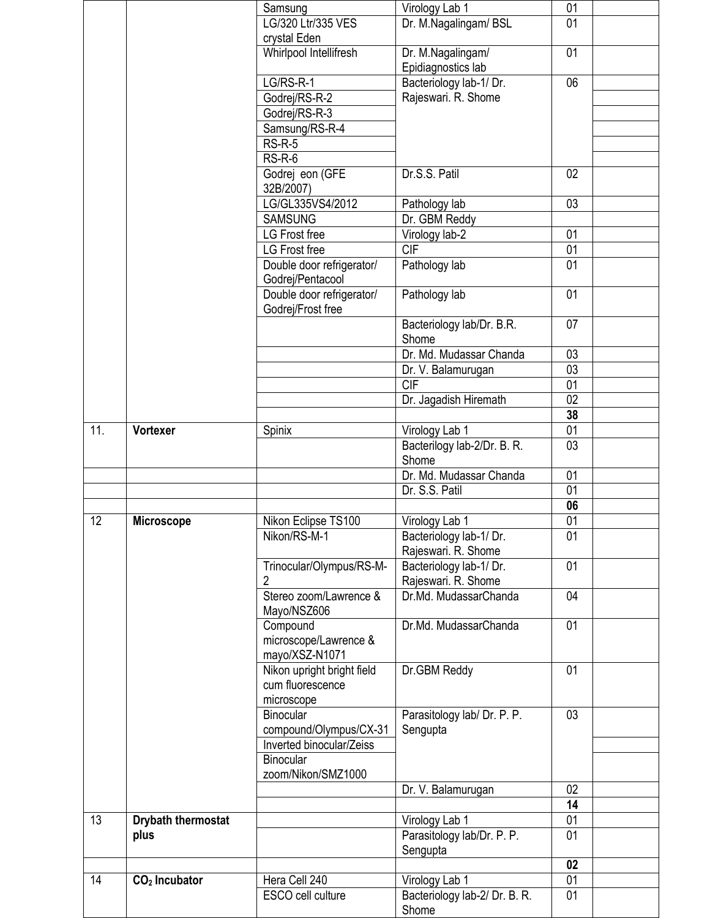|                   |                    | Samsung                                             | Virology Lab 1                          | 01              |  |
|-------------------|--------------------|-----------------------------------------------------|-----------------------------------------|-----------------|--|
|                   |                    | LG/320 Ltr/335 VES                                  | Dr. M.Nagalingam/ BSL                   | 01              |  |
|                   |                    | crystal Eden                                        |                                         |                 |  |
|                   |                    | Whirlpool Intellifresh                              | Dr. M.Nagalingam/<br>Epidiagnostics lab | 01              |  |
|                   |                    | LG/RS-R-1                                           | Bacteriology lab-1/Dr.                  | 06              |  |
|                   |                    | Godrej/RS-R-2                                       | Rajeswari. R. Shome                     |                 |  |
|                   |                    | Godrej/RS-R-3                                       |                                         |                 |  |
|                   |                    | Samsung/RS-R-4                                      |                                         |                 |  |
|                   |                    | $RS-R-5$                                            |                                         |                 |  |
|                   |                    | $RS-R-6$                                            |                                         |                 |  |
|                   |                    | Godrej eon (GFE<br>32B/2007)                        | Dr.S.S. Patil                           | 02 <sub>2</sub> |  |
|                   |                    | LG/GL335VS4/2012                                    | Pathology lab                           | 03              |  |
|                   |                    | <b>SAMSUNG</b>                                      | Dr. GBM Reddy                           |                 |  |
|                   |                    | LG Frost free                                       | Virology lab-2                          | 01              |  |
|                   |                    | LG Frost free                                       | CIF                                     | $\overline{01}$ |  |
|                   |                    | Double door refrigerator/<br>Godrej/Pentacool       | Pathology lab                           | 01              |  |
|                   |                    | Double door refrigerator/<br>Godrej/Frost free      | Pathology lab                           | 01              |  |
|                   |                    |                                                     | Bacteriology lab/Dr. B.R.<br>Shome      | 07              |  |
|                   |                    |                                                     | Dr. Md. Mudassar Chanda                 | 03              |  |
|                   |                    |                                                     | Dr. V. Balamurugan                      | 03              |  |
|                   |                    |                                                     | CIF                                     | 01              |  |
|                   |                    |                                                     | Dr. Jagadish Hiremath                   | $\overline{02}$ |  |
|                   |                    |                                                     |                                         | 38              |  |
| $\overline{11}$ . | Vortexer           | Spinix                                              | Virology Lab 1                          | $\overline{01}$ |  |
|                   |                    |                                                     | Bacterilogy lab-2/Dr. B. R.<br>Shome    | 03              |  |
|                   |                    |                                                     | Dr. Md. Mudassar Chanda                 | 01              |  |
|                   |                    |                                                     | Dr. S.S. Patil                          | 01              |  |
|                   |                    |                                                     |                                         | 06              |  |
| 12                | Microscope         | Nikon Eclipse TS100                                 | Virology Lab 1                          | $\overline{01}$ |  |
|                   |                    | Nikon/RS-M-1                                        | Bacteriology lab-1/Dr.                  | 01              |  |
|                   |                    |                                                     | Rajeswari. R. Shome                     |                 |  |
|                   |                    | Trinocular/Olympus/RS-M-                            | Bacteriology lab-1/Dr.                  | 01              |  |
|                   |                    | 2                                                   | Rajeswari. R. Shome                     |                 |  |
|                   |                    | Stereo zoom/Lawrence &<br>Mayo/NSZ606               | Dr.Md. MudassarChanda                   | 04              |  |
|                   |                    | Compound<br>microscope/Lawrence &<br>mayo/XSZ-N1071 | Dr.Md. MudassarChanda                   | 01              |  |
|                   |                    | Nikon upright bright field<br>cum fluorescence      | Dr.GBM Reddy                            | 01              |  |
|                   |                    | microscope<br>Binocular                             |                                         | 03              |  |
|                   |                    | compound/Olympus/CX-31                              | Parasitology lab/ Dr. P. P.<br>Sengupta |                 |  |
|                   |                    | Inverted binocular/Zeiss                            |                                         |                 |  |
|                   |                    | <b>Binocular</b>                                    |                                         |                 |  |
|                   |                    | zoom/Nikon/SMZ1000                                  |                                         |                 |  |
|                   |                    |                                                     | Dr. V. Balamurugan                      | 02              |  |
|                   |                    |                                                     |                                         | 14              |  |
| 13                | Drybath thermostat |                                                     | Virology Lab 1                          | 01              |  |
|                   | plus               |                                                     | Parasitology lab/Dr. P. P.              | 01              |  |
|                   |                    |                                                     | Sengupta                                |                 |  |
|                   |                    |                                                     |                                         | 02              |  |
| 14                | $CO2$ Incubator    | Hera Cell 240                                       | Virology Lab 1                          | 01              |  |
|                   |                    | ESCO cell culture                                   | Bacteriology lab-2/ Dr. B. R.<br>Shome  | 01              |  |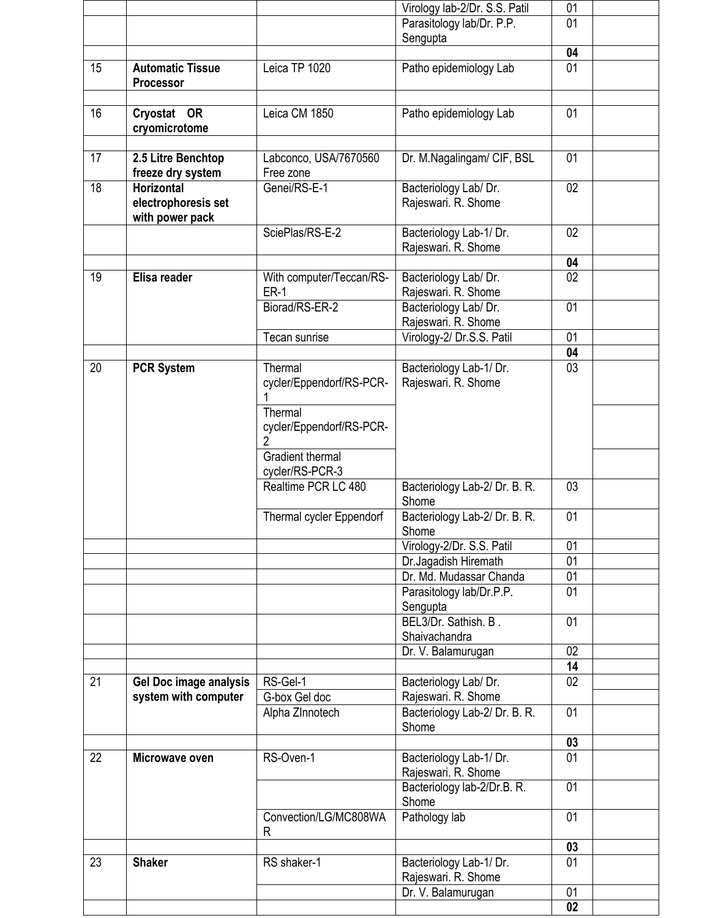|    |                                      |                                     | Virology lab-2/Dr. S.S. Patil                  | 01              |  |
|----|--------------------------------------|-------------------------------------|------------------------------------------------|-----------------|--|
|    |                                      |                                     | Parasitology lab/Dr. P.P.                      | 01              |  |
|    |                                      |                                     | Sengupta                                       |                 |  |
|    |                                      |                                     |                                                | 04              |  |
| 15 | <b>Automatic Tissue</b><br>Processor | Leica TP 1020                       | Patho epidemiology Lab                         | 01              |  |
|    |                                      |                                     |                                                |                 |  |
| 16 | Cryostat OR                          | Leica CM 1850                       | Patho epidemiology Lab                         | 01              |  |
|    | cryomicrotome                        |                                     |                                                |                 |  |
|    |                                      |                                     |                                                |                 |  |
| 17 | 2.5 Litre Benchtop                   | Labconco, USA/7670560               | Dr. M.Nagalingam/ CIF, BSL                     | 01              |  |
|    | freeze dry system                    | Free zone                           |                                                |                 |  |
| 18 | <b>Horizontal</b>                    | Genei/RS-E-1                        | Bacteriology Lab/ Dr.                          | 02 <sub>2</sub> |  |
|    | electrophoresis set                  |                                     | Rajeswari. R. Shome                            |                 |  |
|    | with power pack                      | SciePlas/RS-E-2                     | Bacteriology Lab-1/ Dr.                        | 02              |  |
|    |                                      |                                     | Rajeswari. R. Shome                            |                 |  |
|    |                                      |                                     |                                                | 04              |  |
| 19 | Elisa reader                         | With computer/Teccan/RS-            | Bacteriology Lab/ Dr.                          | 02 <sub>2</sub> |  |
|    |                                      | <b>ER-1</b>                         | Rajeswari. R. Shome                            |                 |  |
|    |                                      | Biorad/RS-ER-2                      | Bacteriology Lab/ Dr.                          | 01              |  |
|    |                                      |                                     | Rajeswari. R. Shome                            |                 |  |
|    |                                      | Tecan sunrise                       | Virology-2/ Dr.S.S. Patil                      | 01              |  |
|    |                                      |                                     |                                                | 04              |  |
| 20 | <b>PCR System</b>                    | Thermal<br>cycler/Eppendorf/RS-PCR- | Bacteriology Lab-1/ Dr.<br>Rajeswari. R. Shome | $\overline{03}$ |  |
|    |                                      |                                     |                                                |                 |  |
|    |                                      | Thermal                             |                                                |                 |  |
|    |                                      | cycler/Eppendorf/RS-PCR-            |                                                |                 |  |
|    |                                      | 2                                   |                                                |                 |  |
|    |                                      | <b>Gradient thermal</b>             |                                                |                 |  |
|    |                                      | cycler/RS-PCR-3                     |                                                |                 |  |
|    |                                      | Realtime PCR LC 480                 | Bacteriology Lab-2/ Dr. B. R.                  | 03              |  |
|    |                                      |                                     | Shome                                          | 01              |  |
|    |                                      | Thermal cycler Eppendorf            | Bacteriology Lab-2/ Dr. B. R.<br>Shome         |                 |  |
|    |                                      |                                     | Virology-2/Dr. S.S. Patil                      | 01              |  |
|    |                                      |                                     | Dr.Jagadish Hiremath                           | 01              |  |
|    |                                      |                                     | Dr. Md. Mudassar Chanda                        | 01              |  |
|    |                                      |                                     | Parasitology lab/Dr.P.P.                       | 01              |  |
|    |                                      |                                     | Sengupta                                       |                 |  |
|    |                                      |                                     | BEL3/Dr. Sathish. B.                           | 01              |  |
|    |                                      |                                     | Shaivachandra                                  | 02              |  |
|    |                                      |                                     | Dr. V. Balamurugan                             | 14              |  |
| 21 | Gel Doc image analysis               | RS-Gel-1                            | Bacteriology Lab/ Dr.                          | 02              |  |
|    | system with computer                 | G-box Gel doc                       | Rajeswari. R. Shome                            |                 |  |
|    |                                      | Alpha ZInnotech                     | Bacteriology Lab-2/ Dr. B. R.                  | 01              |  |
|    |                                      |                                     | Shome                                          |                 |  |
|    |                                      |                                     |                                                | 03              |  |
| 22 | Microwave oven                       | RS-Oven-1                           | Bacteriology Lab-1/ Dr.                        | 01              |  |
|    |                                      |                                     | Rajeswari. R. Shome                            |                 |  |
|    |                                      |                                     | Bacteriology lab-2/Dr.B. R.<br>Shome           | 01              |  |
|    |                                      | Convection/LG/MC808WA               | Pathology lab                                  | 01              |  |
|    |                                      | R                                   |                                                |                 |  |
|    |                                      |                                     |                                                | 03              |  |
| 23 | <b>Shaker</b>                        | RS shaker-1                         | Bacteriology Lab-1/ Dr.                        | 01              |  |
|    |                                      |                                     | Rajeswari. R. Shome                            |                 |  |
|    |                                      |                                     | Dr. V. Balamurugan                             | 01              |  |
|    |                                      |                                     |                                                | 02              |  |

Г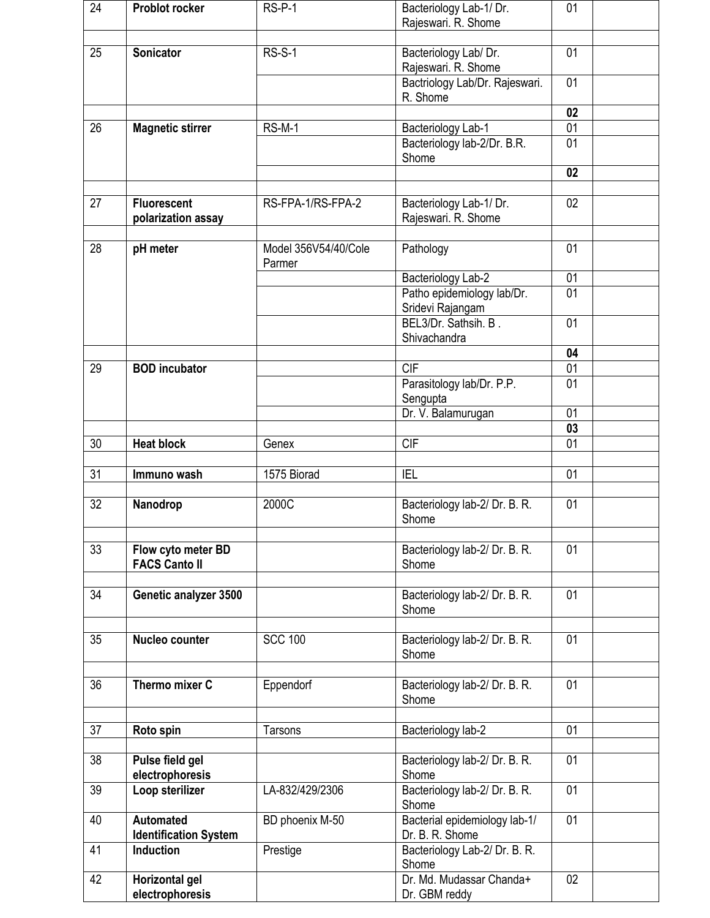| 24              | <b>Problot rocker</b>                            | $RS-P-1$                       | Bacteriology Lab-1/ Dr.<br>Rajeswari. R. Shome               | 01              |  |  |  |  |
|-----------------|--------------------------------------------------|--------------------------------|--------------------------------------------------------------|-----------------|--|--|--|--|
| 25              | Sonicator                                        | <b>RS-S-1</b>                  | Bacteriology Lab/ Dr.<br>Rajeswari. R. Shome                 | 01              |  |  |  |  |
|                 |                                                  |                                | Bactriology Lab/Dr. Rajeswari.<br>R. Shome                   | 01              |  |  |  |  |
|                 |                                                  |                                |                                                              | 02              |  |  |  |  |
| $\overline{26}$ | <b>Magnetic stirrer</b>                          | $RS-M-1$                       | Bacteriology Lab-1                                           | $\overline{01}$ |  |  |  |  |
|                 |                                                  |                                | Bacteriology lab-2/Dr. B.R.<br>Shome                         | 01              |  |  |  |  |
|                 |                                                  |                                |                                                              | 02              |  |  |  |  |
| 27              | <b>Fluorescent</b>                               | RS-FPA-1/RS-FPA-2              |                                                              | 02              |  |  |  |  |
|                 | polarization assay                               |                                | Bacteriology Lab-1/ Dr.<br>Rajeswari. R. Shome               |                 |  |  |  |  |
| 28              | pH meter                                         | Model 356V54/40/Cole<br>Parmer | Pathology                                                    | 01              |  |  |  |  |
|                 |                                                  |                                | Bacteriology Lab-2                                           | 01              |  |  |  |  |
|                 |                                                  |                                | Patho epidemiology lab/Dr.<br>Sridevi Rajangam               | 01              |  |  |  |  |
|                 |                                                  |                                | BEL3/Dr. Sathsih. B.<br>Shivachandra                         | 01              |  |  |  |  |
|                 |                                                  |                                |                                                              | 04              |  |  |  |  |
| 29              | <b>BOD</b> incubator                             |                                | <b>CIF</b>                                                   | 01              |  |  |  |  |
|                 |                                                  |                                | Parasitology lab/Dr. P.P.<br>Sengupta                        | 01              |  |  |  |  |
|                 |                                                  |                                | Dr. V. Balamurugan                                           | $\overline{01}$ |  |  |  |  |
|                 |                                                  |                                |                                                              | 03              |  |  |  |  |
| 30              | <b>Heat block</b>                                | Genex                          | <b>CIF</b>                                                   | 01              |  |  |  |  |
| 31              | Immuno wash                                      | 1575 Biorad                    | <b>IEL</b>                                                   | 01              |  |  |  |  |
| 32              | Nanodrop                                         | 2000C                          | Bacteriology lab-2/ Dr. B. R.                                | 01              |  |  |  |  |
|                 |                                                  |                                | Shome                                                        |                 |  |  |  |  |
| 33              | Flow cyto meter BD<br><b>FACS Canto II</b>       |                                | Bacteriology lab-2/ Dr. B. R.<br>Shome                       | 01              |  |  |  |  |
| 34              |                                                  |                                |                                                              | 01              |  |  |  |  |
|                 | Genetic analyzer 3500                            |                                | Bacteriology lab-2/ Dr. B. R.<br>Shome                       |                 |  |  |  |  |
| 35              | Nucleo counter                                   | <b>SCC 100</b>                 | Bacteriology lab-2/ Dr. B. R.<br>Shome                       | 01              |  |  |  |  |
| 36              | Thermo mixer C                                   | Eppendorf                      | Bacteriology lab-2/ Dr. B. R.<br>Shome                       | 01              |  |  |  |  |
|                 |                                                  |                                |                                                              |                 |  |  |  |  |
| 37              | Roto spin                                        | Tarsons                        | Bacteriology lab-2                                           | 01              |  |  |  |  |
| 38              | Pulse field gel<br>electrophoresis               |                                | Bacteriology lab-2/ Dr. B. R.<br>Shome                       | 01              |  |  |  |  |
| 39              | Loop sterilizer                                  | LA-832/429/2306                | Bacteriology lab-2/ Dr. B. R.<br>Shome                       | 01              |  |  |  |  |
| 40              | <b>Automated</b><br><b>Identification System</b> | BD phoenix M-50                | Bacterial epidemiology lab-1/<br>Dr. B. R. Shome             | 01              |  |  |  |  |
| 41              | Induction                                        | Prestige                       | Bacteriology Lab-2/Dr. B. R.<br>Shome                        |                 |  |  |  |  |
| 42              | Horizontal gel<br>electrophoresis                |                                | Dr. Md. Mudassar Chanda+<br>02 <sub>2</sub><br>Dr. GBM reddy |                 |  |  |  |  |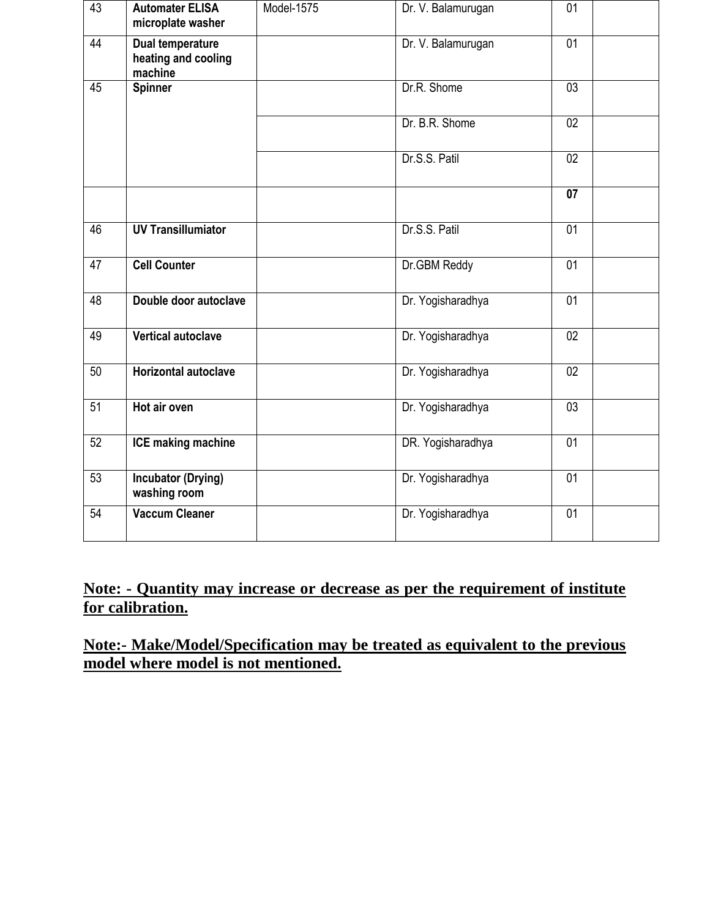| 43              | <b>Automater ELISA</b><br>microplate washer        | Model-1575 | Dr. V. Balamurugan | 01              |
|-----------------|----------------------------------------------------|------------|--------------------|-----------------|
| 44              | Dual temperature<br>heating and cooling<br>machine |            | Dr. V. Balamurugan | 01              |
| 45              | <b>Spinner</b>                                     |            | Dr.R. Shome        | $\overline{03}$ |
|                 |                                                    |            | Dr. B.R. Shome     | $\overline{02}$ |
|                 |                                                    |            | Dr.S.S. Patil      | 02              |
|                 |                                                    |            |                    | 07              |
| 46              | <b>UV Transillumiator</b>                          |            | Dr.S.S. Patil      | 01              |
| 47              | <b>Cell Counter</b>                                |            | Dr.GBM Reddy       | $\overline{01}$ |
| 48              | Double door autoclave                              |            | Dr. Yogisharadhya  | 01              |
| 49              | <b>Vertical autoclave</b>                          |            | Dr. Yogisharadhya  | 02              |
| 50              | <b>Horizontal autoclave</b>                        |            | Dr. Yogisharadhya  | 02              |
| $\overline{51}$ | Hot air oven                                       |            | Dr. Yogisharadhya  | 03              |
| 52              | <b>ICE making machine</b>                          |            | DR. Yogisharadhya  | 01              |
| 53              | <b>Incubator (Drying)</b><br>washing room          |            | Dr. Yogisharadhya  | 01              |
| 54              | <b>Vaccum Cleaner</b>                              |            | Dr. Yogisharadhya  | 01              |

## **Note: - Quantity may increase or decrease as per the requirement of institute for calibration.**

**Note:- Make/Model/Specification may be treated as equivalent to the previous model where model is not mentioned.**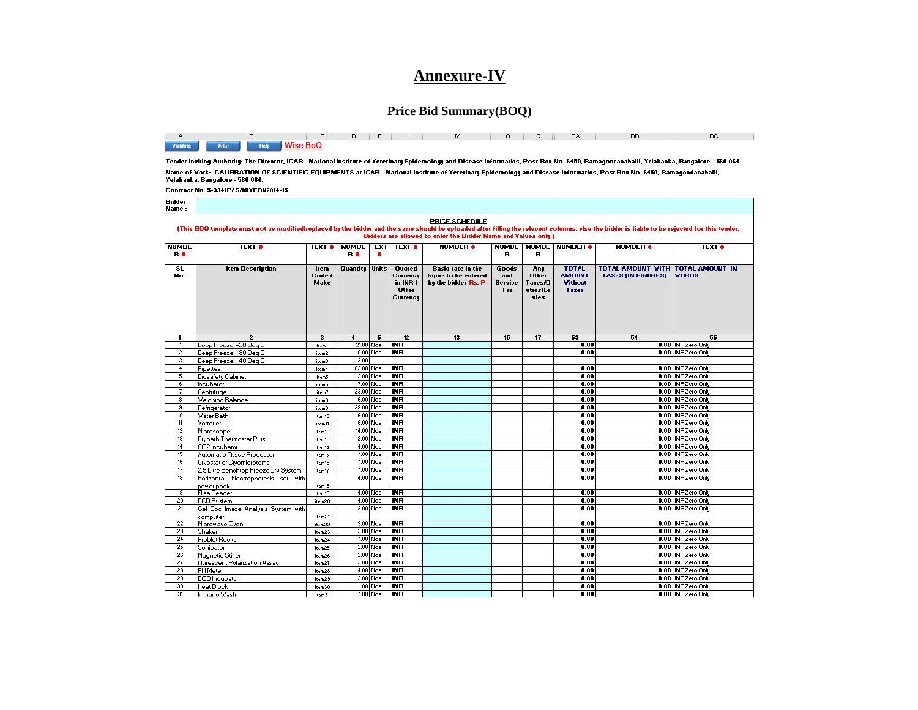### **Annexure-IV**

#### **Price Bid Summary(BOQ)**

|  |                              |  |  |  |  | A B CHOIDIEN DU MIONO RAY BB D BC I |
|--|------------------------------|--|--|--|--|-------------------------------------|
|  | Validate Print Help Wise BoQ |  |  |  |  |                                     |

Tender Inviting Authority: The Director, ICAR - National Institute of Veterinary Epidemology and Disease Informatics, Post Box No. 6450, Ramagondanahalli, Yelahanka, Bangalore - 560 064. Name of Vork: CALIBRATION OF SCIENTIFIC EQUIPMENTS at ICAR - National Institute of Veterinary Epidemology and Disease Informatics, Post Box No. 6450, Ramagondanahalli, Yelahanka, Bangalore - 560 064. Contract No: 5-334/P&S/NIVEDI/2014-15

**Bidder Name** PRICE SCHEDULE (This BOQ template must not be modified/replaced by the bidder and the same should be uploaded after filling the relevent columns, else the bidder is liable to be rejected for this tender. **Bidders are allowed to enter the Bidder Name and Values only ) NUMBE** NUMBE TEXT TEXT \* TEXT # TEXT # NUMBER # NUMBE | NUMBE | NUMBER # **NUMBER #** TEXT # R<sup>\*</sup> R<sup>\*</sup> ٠  $\mathbf{B}$  $\mathbf{B}$  $\overline{\mathsf{SI}}$ . **Item Description Quantity Units** Basic rate in the **TOTAL** TOTAL AMOUNT WITH TOTAL AMOUNT IN **Quoted** Goods **Item** Any Code i Other TAXES (IN FIGURES) VORDS No. Currence figure to be entered and **AMOUNT** Make in INB by the bidder Rs. P **Service Tazes/D Vithout** Other Tax uties/Le **Tazes** Currency vies  $\overline{\mathbf{3}}$  $5$  $12$  $13$  $15$  $\overline{17}$  $53$  $54$  $55$  $\overline{\mathbf{1}}$  $\ddot{\bullet}$ 0.00 INR Zero Only  $\overline{1}$ Deep Freezer-20 Deg 0 item1 21.00 Nos INR  $0.00$  $\overline{2}$ Deep Freezer -80 Deg C 10.00 Nos **INR**  $0.00$ 0.00 INR Zero Only item2 3 Deep Freezer -40 Deg C item3 -3.00 0.00 INR Zero Only  $\overline{4}$ Pipettes item4 163.00 Nos **INB**  $0.00$  $5$ Biosafety Cabinet 13.00 Nos INR  $0.00$ 0.00 INR Zero Only item5 17.00 Nos  $0.00$ 0.00 INR Zero Only  $6$ Incubator item6 **INR**  $\overline{7}$ Centrifuge 23.00 Nos **INB**  $0.00$ 0.00 INR Zero Only item?  $6.00$  Nos **INR**  $0.00$ 0.00 INR Zero Only  $\overline{\mathbf{8}}$ Weighing Balance item8 38.00 Nos  $0.00$ 0.00 INR Zero Only  $_{9}$ **INR** Refrigerator item<sub>3</sub>  $10$ Water Bath item10  $6.00$  Nos **INR**  $0.00$ 0.00 INR Zero Only  $11$ Vortexer 6.00 Nos **INR**  $0.00$ 0.00 INR Zero Only item11 0.00 INR Zero Only  $12$ 14.00 Nos  $0.00$ Microscope **INR** item12 2.00 Nos  $-13$ Drybath Thermostat Plus item13 **INB**  $0.00$ 0.00 INR Zero Only 0.00 INR Zero Only  $14$ CO2 Incubator item14  $4.00$  Nos **INR**  $0.00$  $15$ Automatic Tissue Processor  $1.00$  Nos **INR**  $0.00$ 0.00 INR Zero Only item15  $1.00$  Nos  $0.00$  $16$ Cryostat or Cryomicrotome item16 **INB** 0.00 INR Zero Only  $17$ 2.5 Litre Benchtop Freeze Dry System item17  $1.00$  Nos **INB**  $0.00$ 0.00 INR Zero Only  $4.00$  Nos  $0.00$ 0.00 INR Zero Only  $18$ Horizontal Electrophoresis set with **INR** item18 power pack 0.00 INR Zero Only 19 Elisa Reader item19  $4.00 \, \text{Nos}$ **INR**  $0.00$ 20 PCR System 14.00 Nos **INR**  $0.00$ 0.00 INR Zero Only item20  $\overline{21}$ 3.00 Nos  $0.00$ 0.00 INR Zero Only Gel Doc Image Analysis System with **INR** item21 computer  $\overline{22}$ 3.00 Nos INR  $0.00$ 0.00 INR Zero Only Microwave Oven item22 23 Shaker  $2.00$  Nos **INR**  $0.00$ 0.00 | INR Zero Only item23  $24$ Problot Rocker  $1.00$  Nos **INR**  $0.00$ 0.00 INR Zero Only item24  $25$  $2.00$  Nos INR 0.00 INR Zero Only  $0.00$ Sonicator item25 26 Magnetic Stirrer item26 2.00 Nos **INB**  $0.00$ 0.00 | INR Zero Only  $\overline{27}$ Flurescent Polarization Assay  $2.00$  Nos **INR**  $0.00$ 0.00 | INR Zero Only item27  $28$ PHMeter  $4.00$  Nos INR  $0.00$ 0.00 INR Zero Only item28 **TINR**  $0.00$ 0.00 | INR Zero Only 29 **BOD** Incubator item29  $3.00$  Nos  $30$  $1.00$  Nos **INR**  $0.00$ 0.00 | INR Zero Only Heat Block item30  $\overline{31}$  $1.00$  Nos  $N$  $0.00$ 0.00 INR Zero Only Immuno Wash item31